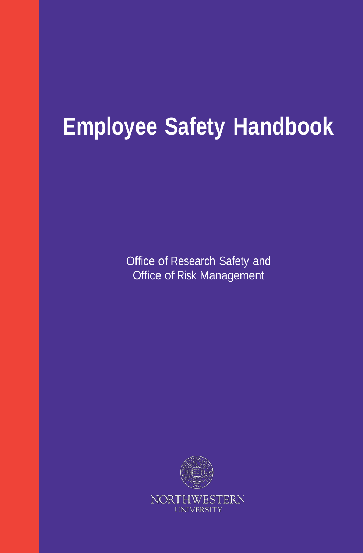# **Employee Safety Handbook**

Office of Research Safety and Office of Risk Management

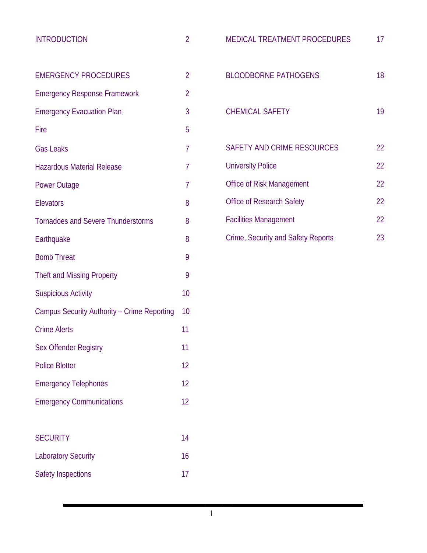| <b>INTRODUCTION</b>                         | $\overline{2}$ |
|---------------------------------------------|----------------|
|                                             |                |
| <b>EMERGENCY PROCEDURES</b>                 | $\overline{2}$ |
| <b>Emergency Response Framework</b>         | $\overline{2}$ |
| <b>Emergency Evacuation Plan</b>            | 3              |
| Fire                                        | 5              |
| <b>Gas Leaks</b>                            | 7              |
| <b>Hazardous Material Release</b>           | 7              |
| <b>Power Outage</b>                         | 7              |
| <b>Elevators</b>                            | 8              |
| <b>Tornadoes and Severe Thunderstorms</b>   | 8              |
| Earthquake                                  | 8              |
| <b>Bomb Threat</b>                          | 9              |
| <b>Theft and Missing Property</b>           | 9              |
| <b>Suspicious Activity</b>                  | 10             |
| Campus Security Authority - Crime Reporting | 10             |
| <b>Crime Alerts</b>                         | 11             |
| Sex Offender Registry                       | 11             |
| <b>Police Blotter</b>                       | 12             |
| <b>Emergency Telephones</b>                 | 12             |
| <b>Emergency Communications</b>             | 12             |
|                                             |                |
| <b>SECURITY</b>                             | 14             |
| <b>Laboratory Security</b>                  | 16             |

Safety Inspections 17

| <b>MEDICAL TREATMENT PROCEDURES</b> | 17 |
|-------------------------------------|----|
| <b>BLOODBORNE PATHOGENS</b>         | 18 |
| <b>CHEMICAL SAFETY</b>              | 19 |
| SAFETY AND CRIME RESOURCES          | 22 |
| <b>University Police</b>            | 22 |
| Office of Risk Management           | 22 |
| <b>Office of Research Safety</b>    | 22 |
| <b>Facilities Management</b>        | 22 |
| Crime, Security and Safety Reports  | 23 |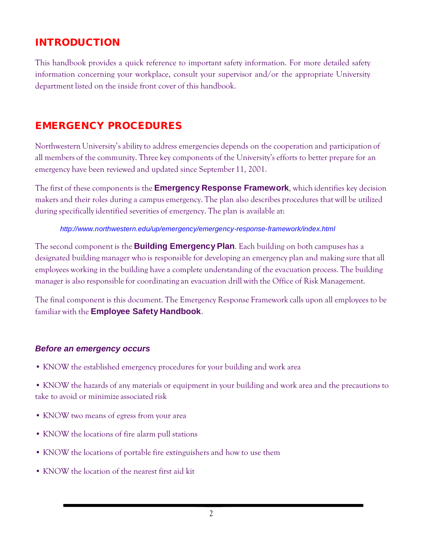# INTRODUCTION

This handbook provides a quick reference to important safety information. For more detailed safety information concerning your workplace, consult your supervisor and/or the appropriate University department listed on the inside front cover of this handbook.

# EMERGENCY PROCEDURES

Northwestern University's abilityto address emergencies depends on the cooperation and participation of all members of the community. Three key components of the University's efforts to better prepare for an emergency have been reviewed and updated since September 11, 2001.

The first of these components is the **Emergency Response Framework**, which identifies key decision makers and their roles during a campus emergency. The plan also describes procedures that will be utilized during specifically identified severities of emergency. The plan is available at:

#### *<http://www.northwestern.edu/up/emergency/emergency-response-framework/index.html>*

The second component is the **Building Emergency Plan**. Each building on both campuses has a designated building manager who is responsible for developing an emergency plan and making sure that all employees working in the building have a complete understanding of the evacuation process. The building manager is also responsible for coordinating an evacuation drill with the Office of Risk Management.

The final component is this document. The Emergency Response Framework calls upon all employees to be familiar with the **Employee Safety Handbook**.

#### *Before an emergency occurs*

• KNOW the established emergency procedures for your building and work area

• KNOW the hazards of any materials or equipment in your building and work area and the precautions to take to avoid or minimize associated risk

- KNOW two means of egress from your area
- KNOW the locations of fire alarm pull stations
- KNOW the locations of portable fire extinguishers and how to use them
- KNOW the location of the nearest first aid kit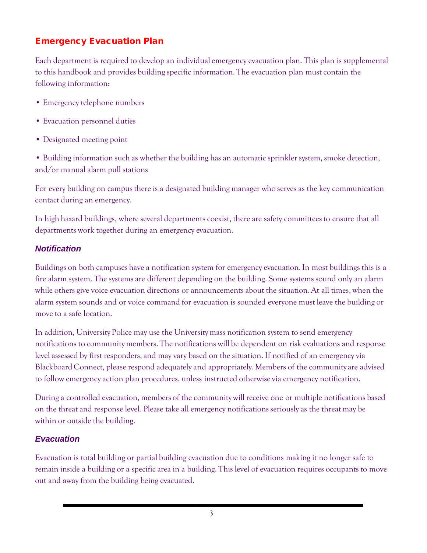# Emergency Evacuation Plan

Each department is required to develop an individual emergency evacuation plan. This plan is supplemental to this handbook and provides building specific information. The evacuation plan mustcontain the following information:

- Emergency telephone numbers
- Evacuation personnel duties
- Designated meeting point

• Building information such as whether the building has an automatic sprinkler system, smoke detection, and/or manual alarm pull stations

For every building on campus there is a designated building manager who serves as the key communication contact during an emergency.

In high hazard buildings, where several departments coexist, there are safety committees to ensure that all departments work together during an emergency evacuation.

### *Notification*

Buildings on both campuses have a notification system for emergency evacuation. In most buildings this is a fire alarm system. The systems are different depending on the building. Some systems sound only an alarm while others give voice evacuation directions or announcements about the situation. At all times, when the alarm system sounds and or voice command for evacuation is sounded everyone must leave the building or move to a safe location.

In addition, University Police may use the University mass notification system to send emergency notifications to communitymembers. The notifications will be dependent on risk evaluations and response level assessed by first responders, and may vary based on the situation. If notified of an emergency via Blackboard Connect, please respond adequately and appropriately. Members of the community are advised to follow emergency action plan procedures, unless instructed otherwise via emergency notification.

During a controlled evacuation, members of the communitywill receive one or multiple notifications based on the threat and response level. Please take all emergency notifications seriously as the threat may be within or outside the building.

# *Evacuation*

Evacuation is total building or partial building evacuation due to conditions making it no longer safe to remain inside a building or a specific area in a building. This level of evacuation requires occupants to move out and away from the building being evacuated.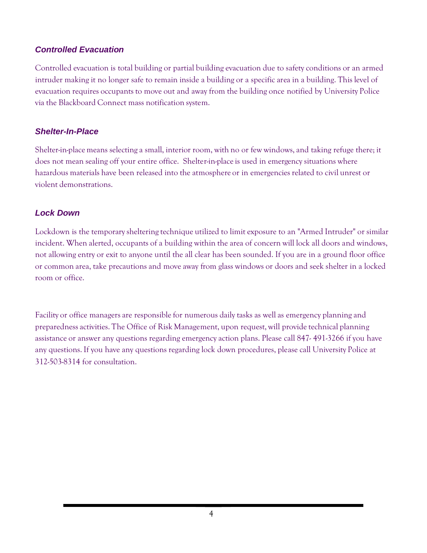#### *Controlled Evacuation*

Controlled evacuation is total building or partial building evacuation due to safety conditions or an armed intruder making it no longer safe to remain inside a building or a specific area in a building. This level of evacuation requires occupants to move out and away from the building once notified by University Police via the Blackboard Connect mass notification system.

#### *Shelter-In-Place*

Shelter-in-place means selecting a small, interior room, with no or few windows, and taking refuge there; it does not mean sealing off your entire office. Shelter-in-place is used in emergency situations where hazardous materials have been released into the atmosphere or in emergencies related to civil unrest or violent demonstrations.

#### *Lock Down*

Lockdown is the temporarysheltering technique utilized to limit exposure to an "Armed Intruder" or similar incident. When alerted, occupants of a building within the area of concern will lock all doors and windows, not allowing entry or exit to anyone until the all clear has been sounded. If you are in a ground floor office or common area, take precautions and move away from glass windows or doors and seek shelter in a locked room or office.

Facility or office managers are responsible for numerous daily tasks as well as emergency planning and preparedness activities. The Office of Risk Management, upon request, will provide technical planning assistance or answer any questions regarding emergency action plans. Please call 847- 491-3266 if you have any questions. If you have any questions regarding lock down procedures, please call University Police at 312-503-8314 for consultation.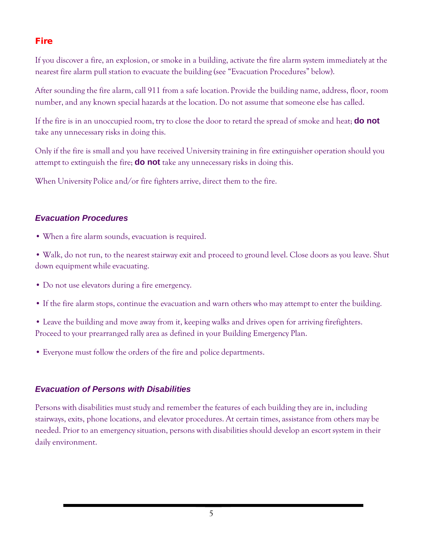# Fire

If you discover a fire, an explosion, or smoke in a building, activate the fire alarm system immediately at the nearest fire alarm pull station to evacuate the building (see "Evacuation Procedures" below).

After sounding the fire alarm, call 911 from a safe location. Provide the building name, address, floor, room number, and any known special hazards at the location. Do not assume that someone else has called.

If the fire is in an unoccupied room, try to close the door to retard the spread of smoke and heat; **do not** take any unnecessary risks in doing this.

Only if the fire is small and you have received Universitytraining in fire extinguisher operation should you attempt to extinguish the fire; **do not** take any unnecessary risks in doing this.

When University Police and/or fire fighters arrive, direct them to the fire.

#### *Evacuation Procedures*

• When a fire alarm sounds, evacuation is required.

• Walk, do not run, to the nearest stairway exit and proceed to ground level. Close doors as you leave. Shut down equipment while evacuating.

- Do not use elevators during a fire emergency.
- If the fire alarm stops, continue the evacuation and warn others who may attempt to enter the building.

• Leave the building and move away from it, keeping walks and drives open for arriving firefighters. Proceed to your prearranged rally area as defined in your Building Emergency Plan.

• Everyone must follow the orders of the fire and police departments.

#### *Evacuation of Persons with Disabilities*

Persons with disabilities must study and remember the features of each building they are in, including stairways, exits, phone locations, and elevator procedures. At certain times, assistance from others may be needed. Prior to an emergency situation, persons with disabilities should develop an escort system in their daily environment.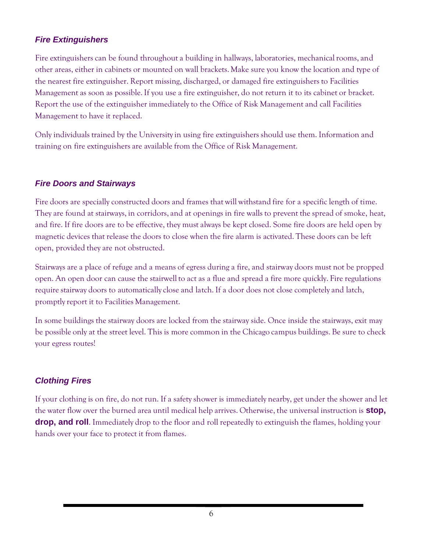#### *Fire Extinguishers*

Fire extinguishers can be found throughout a building in hallways, laboratories, mechanical rooms, and other areas, either in cabinets or mounted on wall brackets. Make sure you know the location and type of the nearest fire extinguisher. Report missing, discharged, or damaged fire extinguishers to Facilities Management as soon as possible. If you use a fire extinguisher, do not return it to its cabinet or bracket. Report the use of the extinguisher immediately to the Office of Risk Management and call Facilities Management to have it replaced.

Only individuals trained by the Universityin using fire extinguishers should use them. Information and training on fire extinguishers are available from the Office of Risk Management.

#### *Fire Doors and Stairways*

Fire doors are specially constructed doors and frames that will withstand fire for a specific length of time. They are found at stairways, in corridors, and at openings in fire walls to prevent the spread of smoke, heat, and fire. If fire doors are to be effective, they must always be kept closed. Some fire doors are held open by magnetic devices that release the doors to close when the fire alarm is activated. These doors can be left open, provided they are not obstructed.

Stairways are a place of refuge and a means of egress during a fire, and stairway doors must not be propped open. An open door can cause the stairwell to act as a flue and spread a fire more quickly. Fire regulations require stairway doors to automaticallyclose and latch. If a door does not close completely and latch, promptlyreport it to Facilities Management.

In some buildings the stairway doors are locked from the stairway side. Once inside the stairways, exit may be possible only at the street level. This is more common in the Chicago campus buildings. Be sure to check your egress routes!

### *Clothing Fires*

If your clothing is on fire, do not run. If a safety shower is immediately nearby, get under the shower and let the water flow over the burned area until medical help arrives. Otherwise, the universal instruction is **stop, drop, and roll**. Immediately drop to the floor and roll repeatedly to extinguish the flames, holding your hands over your face to protect it from flames.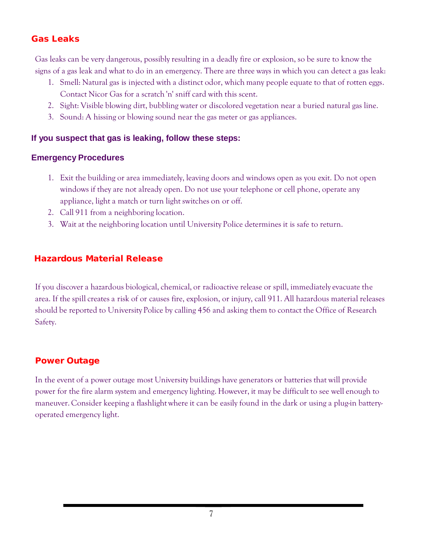#### Gas Leaks

Gas leaks can be very dangerous, possibly resulting in a deadly fire or explosion, so be sure to know the signs of a gas leak and what to do in an emergency. There are three ways in which you can detect a gas leak:

- 1. Smell: Natural gas is injected with a distinct odor, which many people equate to that of rotten eggs. Contact Nicor Gas for a scratch 'n' sniff card with this scent.
- 2. Sight: Visible blowing dirt, bubbling water or discolored vegetation near a buried natural gas line.
- 3. Sound: A hissing or blowing sound near the gas meter or gas appliances.

#### **If you suspect that gas is leaking, follow these steps:**

#### **Emergency Procedures**

- 1. Exit the building or area immediately, leaving doors and windows open as you exit. Do not open windows if they are not already open. Do not use your telephone or cell phone, operate any appliance, light a match or turn light switches on or off.
- 2. Call 911 from a neighboring location.
- 3. Wait at the neighboring location until University Police determines it is safe to return.

### Hazardous Material Release

If you discover a hazardous biological, chemical, or radioactive release or spill, immediately evacuate the area. If the spill creates a risk of or causes fire, explosion, or injury, call 911. All hazardous material releases should be reported to University Police by calling 456 and asking them to contact the Office of Research Safety.

#### Power Outage

In the event of a power outage most University buildings have generators or batteries that will provide power for the fire alarm system and emergency lighting. However, it may be difficult to see well enough to maneuver. Consider keeping a flashlightwhere it can be easily found in the dark or using a plug-in batteryoperated emergency light.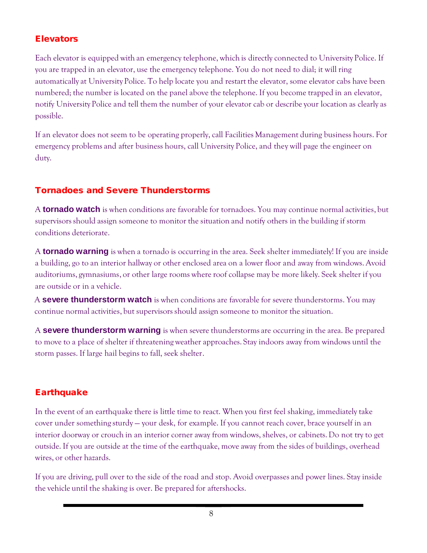## **Elevators**

Each elevator is equipped with an emergency telephone, which is directly connected to University Police. If you are trapped in an elevator, use the emergency telephone. You do not need to dial; it will ring automatically at University Police. To help locate you and restart the elevator, some elevator cabs have been numbered; the number is located on the panel above the telephone. If you become trapped in an elevator, notify University Police and tell them the number of your elevator cab or describe your location as clearly as possible.

If an elevator does not seem to be operating properly, call Facilities Management during business hours. For emergency problems and after business hours, call University Police, and they will page the engineer on duty.

# Tornadoes and Severe Thunderstorms

A **tornado watch** is when conditions are favorable for tornadoes. You may continue normal activities, but supervisors should assign someone to monitor the situation and notify others in the building if storm conditions deteriorate.

A **tornado warning** is when a tornado is occurring in the area. Seek shelter immediately! If you are inside a building, go to an interior hallway or other enclosed area on a lower floor and away from windows. Avoid auditoriums, gymnasiums, or other large rooms where roof collapse may be more likely. Seek shelter if you are outside or in a vehicle.

A **severe thunderstorm watch** is when conditions are favorable for severe thunderstorms. You may continue normal activities, but supervisors should assign someone to monitor the situation.

A **severe thunderstorm warning** is when severe thunderstorms are occurring in the area. Be prepared to move to a place of shelter if threatening weather approaches. Stay indoors away from windows until the storm passes. If large hail begins to fall, seek shelter.

# **Earthquake**

In the event of an earthquake there is little time to react. When you first feel shaking, immediately take cover under something sturdy — your desk, for example. If you cannot reach cover, brace yourself in an interior doorway or crouch in an interior corner away from windows, shelves, or cabinets. Do not try to get outside. If you are outside at the time of the earthquake, move away from the sides of buildings, overhead wires, or other hazards.

If you are driving, pull over to the side of the road and stop. Avoid overpasses and power lines. Stay inside the vehicle until the shaking is over. Be prepared for aftershocks.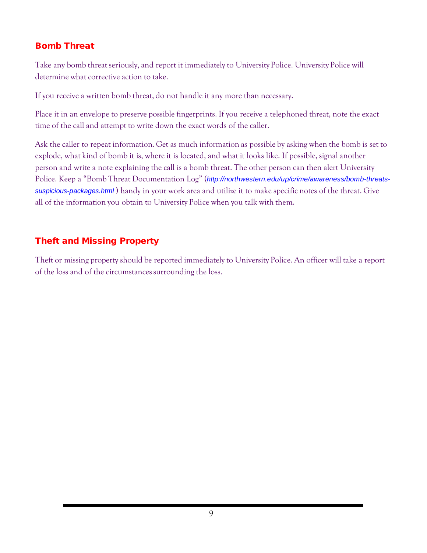# Bomb Threat

Take any bomb threat seriously, and report it immediately to University Police. University Police will determine what corrective action to take.

If you receive a written bomb threat, do not handle it any more than necessary.

Place it in an envelope to preserve possible fingerprints. If you receive a telephoned threat, note the exact time of the call and attempt to write down the exact words of the caller.

Ask the caller to repeat information. Get as much information as possible by asking when the bomb is set to explode, what kind of bomb it is, where it is located, and what it looks like. If possible, signal another person and write a note explaining the call is a bomb threat. The other person can then alert University Police. Keep a "Bomb Threat Documentation Log" (*[http://northwestern.edu/up/crime/awareness/bomb-threats](http://northwestern.edu/up/crime/awareness/bomb-threats-suspicious-packages.html)[suspicious-packages.html](http://northwestern.edu/up/crime/awareness/bomb-threats-suspicious-packages.html)* ) handy in your work area and utilize it to make specific notes of the threat. Give all of the information you obtain to University Police when you talk with them.

# Theft and Missing Property

Theft or missing property should be reported immediately to University Police. An officer will take a report of the loss and of the circumstancessurrounding the loss.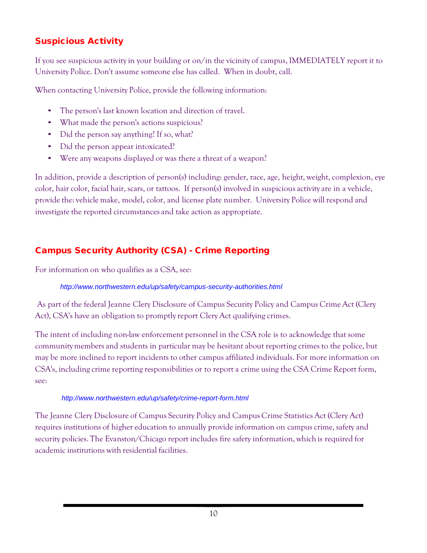# Suspicious Activity

If you see suspicious activityin your building or on/in the vicinity of campus, IMMEDIATELY report it to University Police. Don't assume someone else has called. When in doubt, call.

When contacting University Police, provide the following information:

- The person's last known location and direction of travel.
- What made the person's actions suspicious?
- Did the person say anything? If so, what?
- Did the person appear intoxicated?
- Were any weapons displayed or was there a threat of a weapon?

In addition, provide a description of person(s) including: gender, race, age, height, weight, complexion, eye color, hair color, facial hair, scars, or tattoos. If person(s) involved in suspicious activity are in a vehicle, provide the: vehicle make, model, color, and license plate number. University Police will respond and investigate the reported circumstances and take action as appropriate.

# Campus Security Authority (CSA) - Crime Reporting

For information on who qualifies as a CSA, see:

#### *<http://www.northwestern.edu/up/safety/campus-security-authorities.html>*

As part of the federal Jeanne Clery Disclosure of Campus Security Policy and Campus Crime Act (Clery Act), CSA's have an obligation to promptly report Clery Act qualifying crimes.

The intent of including non-law enforcement personnel in the CSA role is to acknowledge that some communitymembers and students in particular may be hesitant about reporting crimes to the police, but may be more inclined to report incidents to other campus affiliated individuals. For more information on CSA's, including crime reporting responsibilities or to report a crime using the CSA Crime Report form, see:

### *<http://www.northwestern.edu/up/safety/crime-report-form.html>*

The Jeanne Clery Disclosure of Campus Security Policy and Campus Crime StatisticsAct (Clery Act) requires institutions of higher education to annually provide information on campuscrime, safety and security policies. The Evanston/Chicago report includes fire safety information, which is required for academic institutions with residential facilities.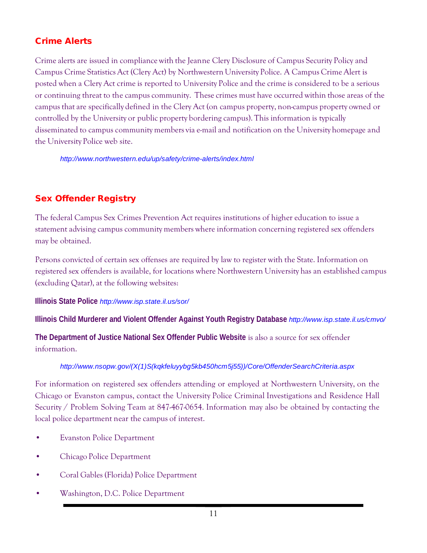# Crime Alerts

Crime alerts are issued in compliance with the Jeanne Clery Disclosure of Campus Security Policy and Campus Crime Statistics Act (Clery Act) by Northwestern University Police. A Campus Crime Alert is posted when a Clery Act crime is reported to University Police and the crime is considered to be a serious or continuing threat to the campus community. These crimes must have occurred within those areas of the campus that are specifically defined in the Clery Act (on campus property, non-campus property owned or controlled by the University or public property bordering campus). This information is typically disseminated to campus community members via e-mail and notification on the University homepage and the University Police web site.

*<http://www.northwestern.edu/up/safety/crime-alerts/index.html>*

# Sex Offender Registry

The federal Campus Sex Crimes Prevention Act requires institutions of higher education to issue a statement advising campus community members where information concerning registered sex offenders may be obtained.

Persons convicted of certain sex offenses are required by law to register with the State. Information on registered sex offenders is available, for locations where Northwestern University has an established campus (excluding Qatar), at the following websites:

**Illinois State Police** *<http://www.isp.state.il.us/sor/>*

**Illinois Child Murderer and Violent Offender Against Youth Registry Database** *<http://www.isp.state.il.us/cmvo/>*

**The Department of Justice National Sex Offender Public Website** is also a source for sex offender information.

#### *[http://www.nsopw.gov/\(X\(1\)S\(kqkfeluyybg5kb450hcm5j55\)\)/Core/OffenderSearchCriteria.aspx](http://www.nsopw.gov/(X(1)S(kqkfeluyybg5kb450hcm5j55))/Core/OffenderSearchCriteria.aspx)*

For information on registered sex offenders attending or employed at Northwestern University, on the Chicago or Evanston campus, contact the University Police Criminal Investigations and Residence Hall Security / Problem Solving Team at 847-467-0654. Information may also be obtained by contacting the local police department near the campus of interest.

- Evanston Police Department
- Chicago Police Department
- Coral Gables (Florida) Police Department
- Washington, D.C. Police Department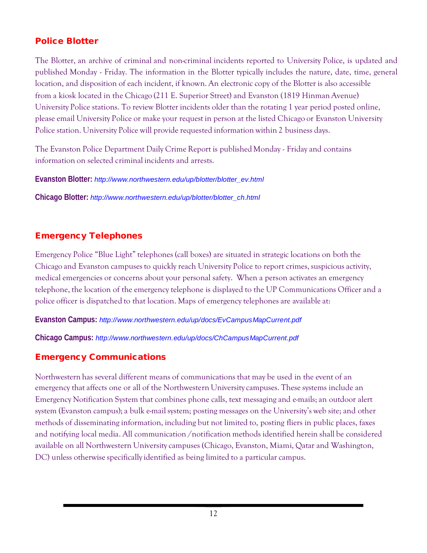# Police Blotter

The Blotter, an archive of criminal and non-criminal incidents reported to University Police, is updated and published Monday - Friday. The information in the Blotter typically includes the nature, date, time, general location, and disposition of each incident, if known. An electronic copy of the Blotter is also accessible from a kiosk located in the Chicago (211 E. Superior Street) and Evanston (1819 Hinman Avenue) University Police stations. To review Blotter incidents older than the rotating 1 year period posted online, please email University Police or make your request in person at the listed Chicago or Evanston University Police station. University Police will provide requested information within 2 business days.

The Evanston Police Department Daily Crime Report is published Monday - Friday and contains information on selected criminal incidents and arrests.

**Evanston Blotter:** *[http://www.northwestern.edu/up/blotter/blotter\\_ev.html](http://www.northwestern.edu/up/blotter/blotter_ev.html)*

**Chicago Blotter:** *[http://www.northwestern.edu/up/blotter/blotter\\_ch.html](http://www.northwestern.edu/up/blotter/blotter_ch.html)*

# Emergency Telephones

Emergency Police "Blue Light" telephones (call boxes) are situated in strategic locations on both the Chicago and Evanston campuses to quickly reach University Police to report crimes, suspicious activity, medical emergencies or concerns about your personal safety. When a person activates an emergency telephone, the location of the emergency telephone is displayed to the UP Communications Officer and a police officer is dispatched to that location. Maps of emergency telephones are available at:

#### **Evanston Campus:** *<http://www.northwestern.edu/up/docs/EvCampusMapCurrent.pdf>*

**Chicago Campus:** *<http://www.northwestern.edu/up/docs/ChCampusMapCurrent.pdf>*

# Emergency Communications

Northwestern has several different means of communications that may be used in the event of an emergency that affects one or all of the Northwestern Universitycampuses. These systems include an Emergency Notification System that combines phone calls, text messaging and e-mails; an outdoor alert system (Evanston campus); a bulk e-mail system; posting messages on the University's web site; and other methods of disseminating information, including but not limited to, posting fliers in public places, faxes and notifying local media. All communication /notification methods identified herein shall be considered available on all Northwestern Universitycampuses (Chicago, Evanston, Miami, Qatar and Washington, DC) unless otherwise specifically identified as being limited to a particular campus.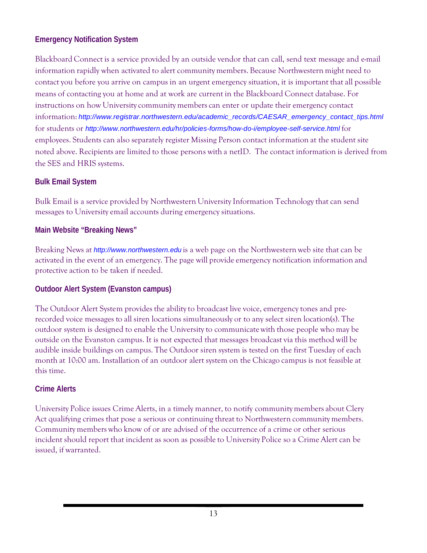#### **Emergency Notification System**

Blackboard Connect is a service provided by an outside vendor that can call, send text message and e-mail information rapidly when activated to alert community members. Because Northwestern might need to contact you before you arrive on campus in an urgent emergency situation, it is important that all possible means of contacting you at home and at work are current in the Blackboard Connect database. For instructions on how University community members can enter or update their emergency contact information: http://www.registrar.northwestern.edu/academic\_records/CAESAR\_emergency\_contact\_tips.html for students or *<http://www.northwestern.edu/hr/policies-forms/how-do-i/employee-self-service.html>* for employees. Students can also separately register Missing Person contact information at the student site noted above. Recipients are limited to those persons with a netID. The contact information is derived from the SES and HRIS systems.

#### **Bulk Email System**

Bulk Email is a service provided by Northwestern University Information Technology that can send messages to University email accounts during emergency situations.

#### **Main Website "Breaking News"**

Breaking News at *[http://www.northwestern.edu](http://www.northwestern.edu/)* is a web page on the Northwestern web site that can be activated in the event of an emergency. The page will provide emergency notification information and protective action to be taken if needed.

#### **Outdoor Alert System (Evanston campus)**

The Outdoor Alert System provides the ability to broadcast live voice, emergency tones and prerecorded voice messages to all siren locations simultaneously or to any select siren location(s). The outdoor system is designed to enable the Universityto communicate with those people who may be outside on the Evanston campus. It is not expected that messages broadcast via this method will be audible inside buildings on campus. The Outdoor siren system is tested on the first Tuesday of each month at 10:00 am. Installation of an outdoor alert system on the Chicago campus is not feasible at this time.

#### **Crime Alerts**

University Police issues Crime Alerts, in a timely manner, to notify communitymembers about Clery Act qualifying crimes that pose a serious or continuing threat to Northwestern community members. Communitymembers who know of or are advised of the occurrence of a crime or other serious incident should report that incident as soon as possible to University Police so a Crime Alert can be issued, if warranted.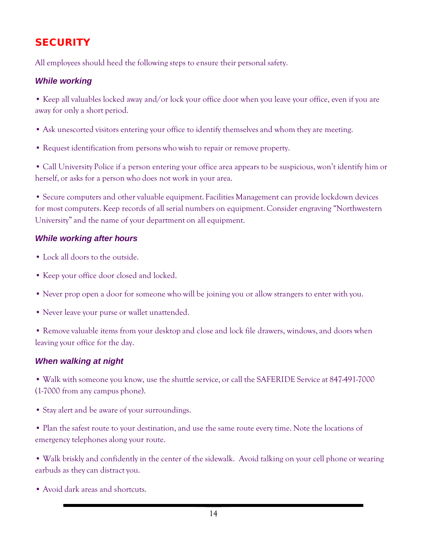# **SECURITY**

All employees should heed the following steps to ensure their personal safety.

### *While working*

• Keep all valuables locked away and/or lock your office door when you leave your office, even if you are away for only a short period.

- Ask unescorted visitors entering your office to identify themselves and whom they are meeting.
- Request identification from persons who wish to repair or remove property.

• Call University Police if a person entering your office area appears to be suspicious, won't identify him or herself, or asks for a person who does not work in your area.

• Secure computers and other valuable equipment. Facilities Management can provide lockdown devices for most computers. Keep records of all serial numbers on equipment. Consider engraving "Northwestern University" and the name of your department on all equipment.

### *While working after hours*

- Lock all doors to the outside.
- Keep your office door closed and locked.
- Never prop open a door for someone who will be joining you or allow strangers to enter with you.
- Never leave your purse or wallet unattended.

• Remove valuable items from your desktop and close and lock file drawers, windows, and doors when leaving your office for the day.

### *When walking at night*

• Walk with someone you know, use the shuttle service, or call the SAFERIDE Service at 847-491-7000 (1-7000 from any campus phone).

• Stay alert and be aware of your surroundings.

• Plan the safest route to your destination, and use the same route every time. Note the locations of emergency telephones along your route.

• Walk briskly and confidently in the center of the sidewalk. Avoid talking on your cell phone or wearing earbuds as they can distract you.

• Avoid dark areas and shortcuts.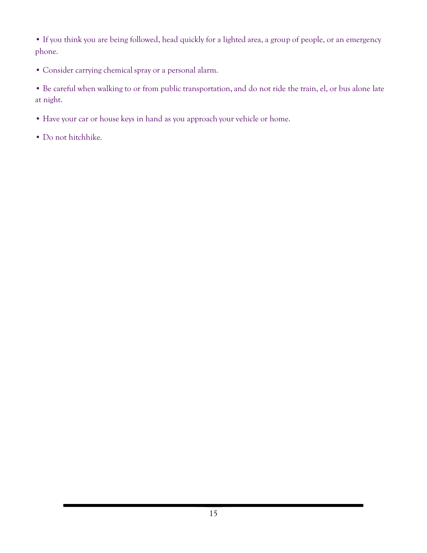• If you think you are being followed, head quickly for a lighted area, a group of people, or an emergency phone.

• Consider carrying chemical spray or a personal alarm.

• Be careful when walking to or from public transportation, and do not ride the train, el, or bus alone late at night.

- Have your car or house keys in hand as you approach your vehicle or home.
- Do not hitchhike.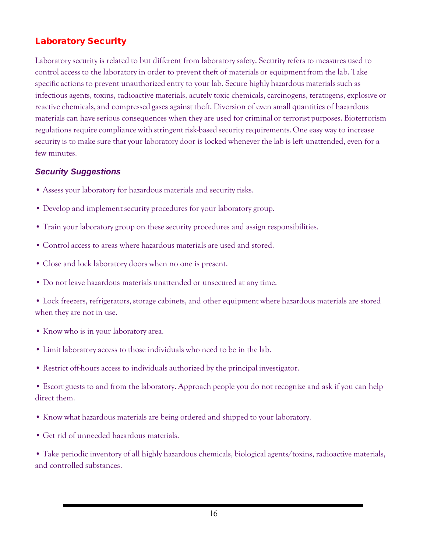# Laboratory Security

Laboratory security is related to but different from laboratory safety. Security refers to measures used to control access to the laboratory in order to prevent theft of materials or equipment from the lab. Take specific actions to prevent unauthorized entry to your lab. Secure highly hazardous materials such as infectious agents, toxins, radioactive materials, acutely toxic chemicals, carcinogens, teratogens, explosive or reactive chemicals, and compressed gases against theft. Diversion of even small quantities of hazardous materials can have serious consequences when they are used for criminal or terrorist purposes. Bioterrorism regulations require compliance with stringent risk-based security requirements. One easy way to increase security is to make sure that your laboratory door is locked whenever the lab is left unattended, even for a few minutes.

#### *Security Suggestions*

- Assess your laboratory for hazardous materials and security risks.
- Develop and implement security procedures for your laboratory group.
- Train your laboratory group on these security procedures and assign responsibilities.
- Control access to areas where hazardous materials are used and stored.
- Close and lock laboratory doors when no one is present.
- Do not leave hazardous materials unattended or unsecured at any time.

• Lock freezers, refrigerators, storage cabinets, and other equipment where hazardous materials are stored when they are not in use.

- Know who is in your laboratory area.
- Limit laboratory access to those individuals who need to be in the lab.
- Restrict off-hours access to individuals authorized by the principal investigator.

• Escort guests to and from the laboratory. Approach people you do not recognize and ask if you can help direct them.

- Know what hazardous materials are being ordered and shipped to your laboratory.
- Get rid of unneeded hazardous materials.

• Take periodic inventory of all highly hazardous chemicals, biological agents/toxins, radioactive materials, and controlled substances.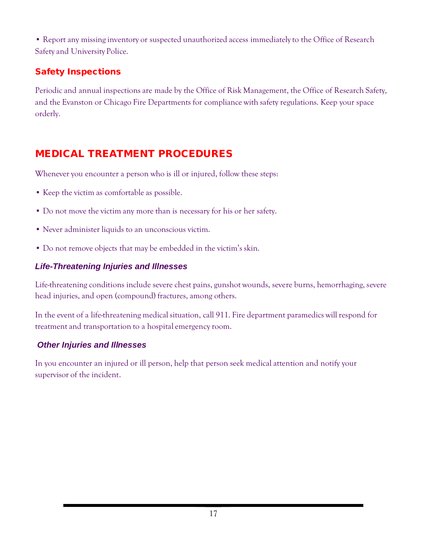• Report any missing inventory or suspected unauthorized access immediatelyto the Office of Research Safety and University Police.

# Safety Inspections

Periodic and annual inspections are made by the Office of Risk Management, the Office of Research Safety, and the Evanston or Chicago Fire Departments for compliance with safety regulations. Keep your space orderly.

# MEDICAL TREATMENT PROCEDURES

Whenever you encounter a person who is ill or injured, follow these steps:

- Keep the victim as comfortable as possible.
- Do not move the victim any more than is necessary for his or her safety.
- Never administer liquids to an unconscious victim.
- Do not remove objects that may be embedded in the victim's skin.

# *Life-Threatening Injuries and Illnesses*

Life-threatening conditions include severe chest pains, gunshot wounds, severe burns, hemorrhaging, severe head injuries, and open (compound) fractures, among others.

In the event of a life-threatening medical situation, call 911. Fire department paramedics will respond for treatment and transportation to a hospital emergency room.

### *Other Injuries and Illnesses*

In you encounter an injured or ill person, help that person seek medical attention and notify your supervisor of the incident.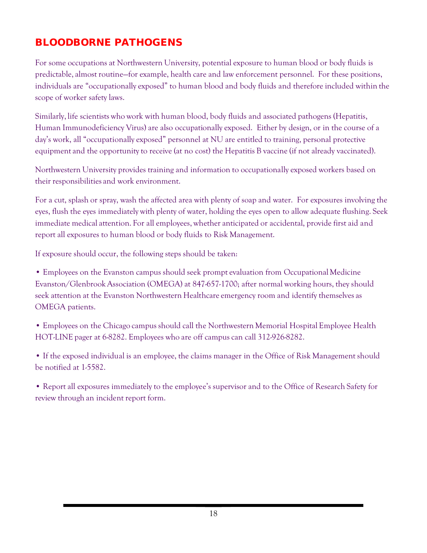# BLOODBORNE PATHOGENS

For some occupations at Northwestern University, potential exposure to human blood or body fluids is predictable, almost routine—for example, health care and law enforcement personnel. For these positions, individuals are "occupationally exposed" to human blood and body fluids and therefore included within the scope of worker safety laws.

Similarly, life scientists who work with human blood, body fluids and associated pathogens (Hepatitis, Human Immunodeficiency Virus) are also occupationally exposed. Either by design, or in the course of a day's work, all "occupationally exposed" personnel at NU are entitled to training, personal protective equipment and the opportunityto receive (at no cost) the Hepatitis B vaccine (if not already vaccinated).

Northwestern University provides training and information to occupationally exposed workers based on their responsibilities and work environment.

For a cut, splash or spray, wash the affected area with plenty of soap and water. For exposures involving the eyes, flush the eyes immediately with plenty of water, holding the eyes open to allow adequate flushing. Seek immediate medical attention. For all employees, whether anticipated or accidental, provide first aid and report all exposures to human blood or body fluids to Risk Management.

If exposure should occur, the following steps should be taken:

• Employees on the Evanston campus should seek prompt evaluation from Occupational Medicine Evanston/Glenbrook Association (OMEGA) at 847-657-1700; after normal working hours, they should seek attention at the Evanston Northwestern Healthcare emergency room and identify themselves as OMEGA patients.

• Employees on the Chicago campus should call the Northwestern Memorial Hospital Employee Health HOT-LINE pager at 6-8282. Employees who are off campuscan call 312-926-8282.

• If the exposed individual is an employee, the claims manager in the Office of Risk Management should be notified at 1-5582.

• Report all exposures immediately to the employee's supervisor and to the Office of Research Safety for review through an incident report form.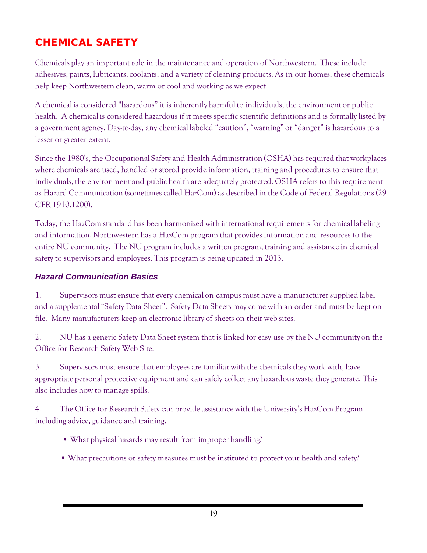# CHEMICAL SAFETY

Chemicals play an important role in the maintenance and operation of Northwestern. These include adhesives, paints, lubricants, coolants, and a variety of cleaning products. As in our homes, these chemicals help keep Northwestern clean, warm or cool and working as we expect.

A chemical is considered "hazardous" it is inherently harmful to individuals, the environment or public health. A chemical is considered hazardous if it meets specific scientific definitions and is formally listed by a government agency. Day-to-day, any chemical labeled "caution", "warning" or "danger" is hazardous to a lesser or greater extent.

Since the 1980's, the Occupational Safety and Health Administration (OSHA) has required that workplaces where chemicals are used, handled or stored provide information, training and procedures to ensure that individuals, the environment and public health are adequately protected. OSHA refers to this requirement as Hazard Communication (sometimes called HazCom) as described in the Code of Federal Regulations (29 CFR 1910.1200).

Today, the HazCom standard has been harmonized with international requirements for chemical labeling and information. Northwestern has a HazCom program that provides information and resources to the entire NU community. The NU program includes a written program, training and assistance in chemical safety to supervisors and employees. This program is being updated in 2013.

#### *Hazard Communication Basics*

1. Supervisors must ensure that every chemical on campus must have a manufacturer supplied label and a supplemental "Safety Data Sheet". Safety Data Sheets may come with an order and must be kept on file. Many manufacturers keep an electronic library of sheets on their web sites.

2. NU has a generic Safety Data Sheet system that is linked for easy use by the NU community on the Office for Research Safety Web Site.

3. Supervisors must ensure that employees are familiar with the chemicals they work with, have appropriate personal protective equipment and can safely collect any hazardous waste they generate. This also includes how to manage spills.

4. The Office for Research Safety can provide assistance with the University's HazCom Program including advice, guidance and training.

- What physical hazards may result from improper handling?
- What precautions or safety measures must be instituted to protect your health and safety?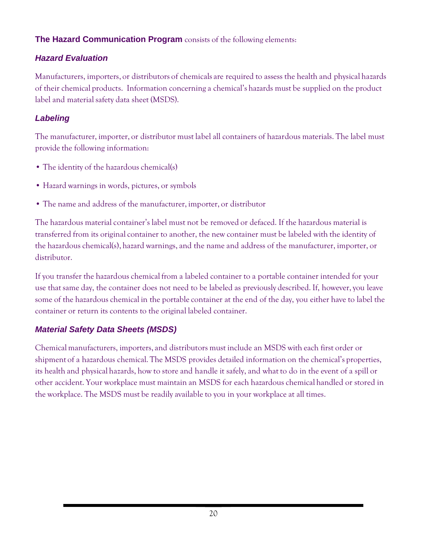# **The Hazard Communication Program** consists of the following elements:

## *Hazard Evaluation*

Manufacturers, importers, or distributors of chemicals are required to assess the health and physical hazards of their chemical products. Information concerning a chemical's hazards must be supplied on the product label and material safety data sheet (MSDS).

# *Labeling*

The manufacturer, importer, or distributor must label all containers of hazardous materials. The label must provide the following information:

- The identity of the hazardous chemical(s)
- Hazard warnings in words, pictures, or symbols
- The name and address of the manufacturer, importer, or distributor

The hazardous material container's label must not be removed or defaced. If the hazardous material is transferred from its original container to another, the new container must be labeled with the identity of the hazardous chemical(s), hazard warnings, and the name and address of the manufacturer, importer, or distributor.

If you transfer the hazardous chemical from a labeled container to a portable container intended for your use that same day, the container does not need to be labeled as previously described. If, however,you leave some of the hazardous chemical in the portable container at the end of the day, you either have to label the container or return its contents to the original labeled container.

# *Material Safety Data Sheets (MSDS)*

Chemicalmanufacturers, importers, and distributors must include an MSDS with each first order or shipment of a hazardous chemical. The MSDS provides detailed information on the chemical's properties, its health and physical hazards, how to store and handle it safely, and what to do in the event of a spill or other accident. Your workplace must maintain an MSDS for each hazardous chemical handled or stored in the workplace. The MSDS must be readily available to you in your workplace at all times.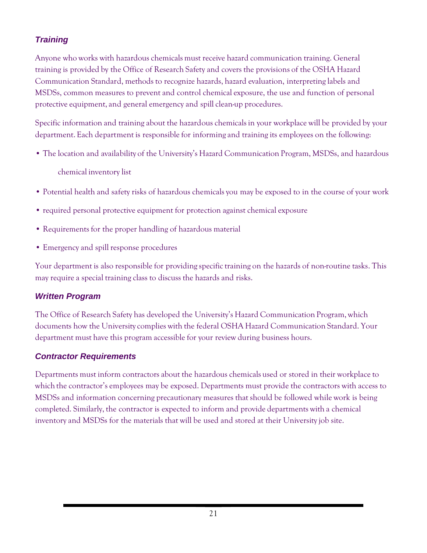# *Training*

Anyone who works with hazardous chemicals must receive hazard communication training. General training is provided by the Office of Research Safety and covers the provisions of the OSHA Hazard Communication Standard, methods to recognize hazards, hazard evaluation, interpreting labels and MSDSs, common measures to prevent and control chemical exposure, the use and function of personal protective equipment, and general emergency and spill clean-up procedures.

Specific information and training about the hazardous chemicals in your workplace will be provided by your department. Each department is responsible for informing and training its employees on the following:

• The location and availability of the University's Hazard Communication Program, MSDSs, and hazardous

chemical inventory list

- Potential health and safety risks of hazardous chemicalsyou may be exposed to in the course of your work
- required personal protective equipment for protection against chemical exposure
- Requirements for the proper handling of hazardous material
- Emergency and spill response procedures

Your department is also responsible for providing specific training on the hazards of non-routine tasks. This may require a special training class to discuss the hazards and risks.

# *Written Program*

The Office of Research Safety has developed the University's Hazard Communication Program, which documents how the Universitycomplies with the federal OSHA Hazard Communication Standard. Your department must have this program accessible for your review during business hours.

# *Contractor Requirements*

Departments must inform contractors about the hazardous chemicals used or stored in their workplace to which the contractor's employees may be exposed. Departments must provide the contractors with access to MSDSs and information concerning precautionary measures that should be followed while work is being completed. Similarly, the contractor is expected to inform and provide departments with a chemical inventory and MSDSs for the materials that will be used and stored at their Universityjob site.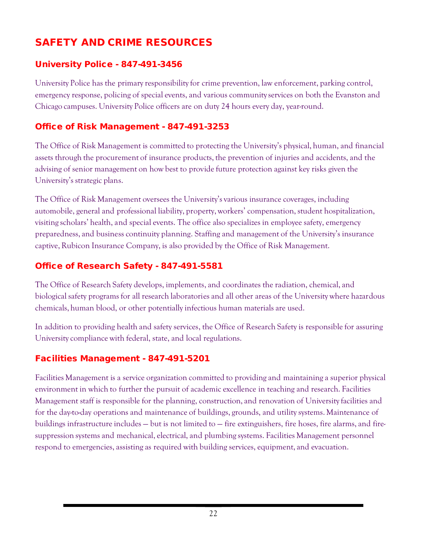# SAFETY AND CRIME RESOURCES

## University Police - 847-491-3456

University Police has the primary responsibility for crime prevention, law enforcement, parking control, emergency response, policing of special events, and various communityservices on both the Evanston and Chicago campuses. University Police officers are on duty 24 hours every day, year-round.

# Office of Risk Management - 847-491-3253

The Office of Risk Management is committed to protecting the University's physical, human, and financial assets through the procurement of insurance products, the prevention of injuries and accidents, and the advising of senior management on how best to provide future protection against key risks given the University's strategic plans.

The Office of Risk Management oversees the University's various insurance coverages, including automobile, general and professional liability, property, workers' compensation, student hospitalization, visiting scholars' health, and special events. The office also specializes in employee safety, emergency preparedness, and business continuity planning. Staffing and management of the University's insurance captive, Rubicon Insurance Company, is also provided by the Office of Risk Management.

# Office of Research Safety - 847-491-5581

The Office of Research Safety develops, implements, and coordinates the radiation, chemical, and biological safety programs for all research laboratories and all other areas of the University where hazardous chemicals, human blood, or other potentiallyinfectious human materials are used.

In addition to providing health and safety services, the Office of Research Safety is responsible for assuring University compliance with federal, state, and local regulations.

### Facilities Management - 847-491-5201

Facilities Management is a service organization committed to providing and maintaining a superior physical environment in which to further the pursuit of academic excellence in teaching and research. Facilities Management staff is responsible for the planning, construction, and renovation of Universityfacilities and for the day-to-day operations and maintenance of buildings, grounds, and utility systems. Maintenance of buildings infrastructure includes — but is not limited to — fire extinguishers, fire hoses, fire alarms, and firesuppression systems and mechanical, electrical, and plumbing systems. Facilities Management personnel respond to emergencies, assisting as required with building services, equipment, and evacuation.